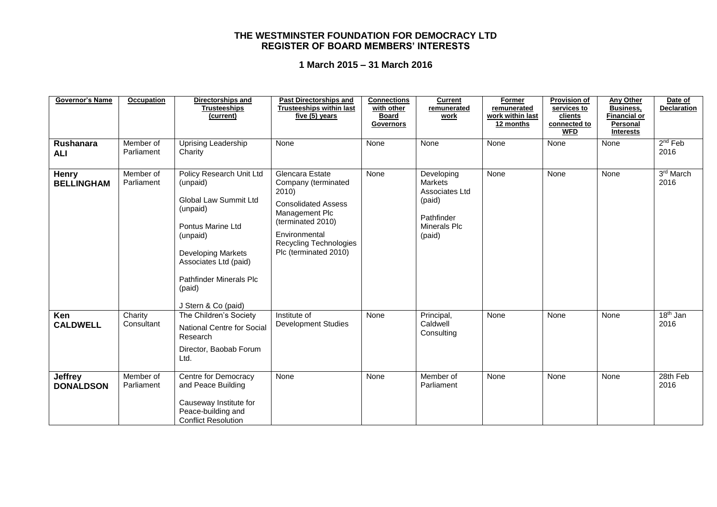| <b>Governor's Name</b>             | Occupation              | Directorships and<br><b>Trusteeships</b><br>(current)                                                                                                                                                                               | <b>Past Directorships and</b><br><b>Trusteeships within last</b><br>five (5) years                                                                                                       | <b>Connections</b><br>with other<br><b>Board</b><br><b>Governors</b> | <b>Current</b><br>remunerated<br>work                                                            | Former<br>remunerated<br>work within last<br>12 months | <b>Provision of</b><br>services to<br>clients<br>connected to<br><b>WFD</b> | Any Other<br><b>Business,</b><br><b>Financial or</b><br>Personal<br><b>Interests</b> | Date of<br><b>Declaration</b> |
|------------------------------------|-------------------------|-------------------------------------------------------------------------------------------------------------------------------------------------------------------------------------------------------------------------------------|------------------------------------------------------------------------------------------------------------------------------------------------------------------------------------------|----------------------------------------------------------------------|--------------------------------------------------------------------------------------------------|--------------------------------------------------------|-----------------------------------------------------------------------------|--------------------------------------------------------------------------------------|-------------------------------|
| <b>Rushanara</b><br><b>ALI</b>     | Member of<br>Parliament | <b>Uprising Leadership</b><br>Charity                                                                                                                                                                                               | None                                                                                                                                                                                     | None                                                                 | None                                                                                             | None                                                   | None                                                                        | None                                                                                 | $2nd$ Feb<br>2016             |
| <b>Henry</b><br><b>BELLINGHAM</b>  | Member of<br>Parliament | Policy Research Unit Ltd<br>(unpaid)<br>Global Law Summit Ltd<br>(unpaid)<br>Pontus Marine Ltd<br>(unpaid)<br><b>Developing Markets</b><br>Associates Ltd (paid)<br><b>Pathfinder Minerals Plc</b><br>(paid)<br>J Stern & Co (paid) | Glencara Estate<br>Company (terminated<br>2010)<br><b>Consolidated Assess</b><br>Management Plc<br>(terminated 2010)<br>Environmental<br>Recycling Technologies<br>Plc (terminated 2010) | None                                                                 | Developing<br><b>Markets</b><br>Associates Ltd<br>(paid)<br>Pathfinder<br>Minerals Plc<br>(paid) | None                                                   | None                                                                        | None                                                                                 | 3rd March<br>2016             |
| Ken<br><b>CALDWELL</b>             | Charity<br>Consultant   | The Children's Society<br><b>National Centre for Social</b><br>Research<br>Director, Baobab Forum<br>Ltd.                                                                                                                           | Institute of<br><b>Development Studies</b>                                                                                                                                               | None                                                                 | Principal,<br>Caldwell<br>Consulting                                                             | None                                                   | None                                                                        | None                                                                                 | $18th$ Jan<br>2016            |
| <b>Jeffrey</b><br><b>DONALDSON</b> | Member of<br>Parliament | Centre for Democracy<br>and Peace Building<br>Causeway Institute for<br>Peace-building and<br><b>Conflict Resolution</b>                                                                                                            | None                                                                                                                                                                                     | None                                                                 | Member of<br>Parliament                                                                          | None                                                   | None                                                                        | None                                                                                 | 28th Feb<br>2016              |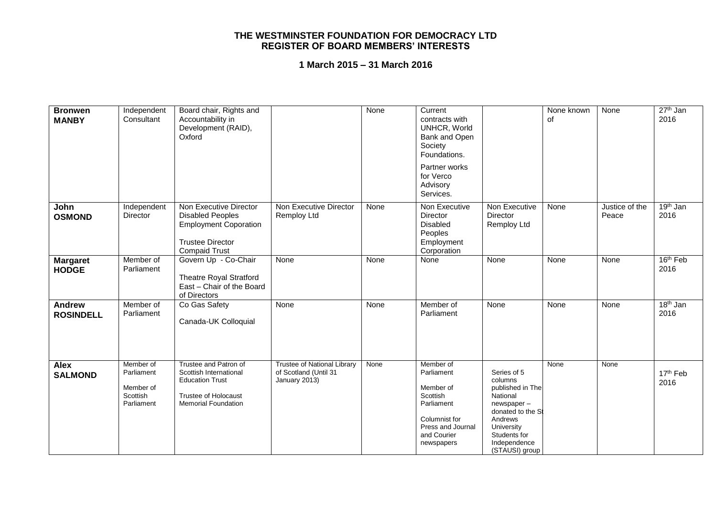| <b>Bronwen</b><br><b>MANBY</b>    | Independent<br>Consultant                                      | Board chair, Rights and<br>Accountability in<br>Development (RAID),<br>Oxford                                                          |                                                                              | None | Current<br>contracts with<br>UNHCR, World<br>Bank and Open<br>Society<br>Foundations.<br>Partner works<br>for Verco<br>Advisory<br>Services. |                                                                                                                                                                      | None known<br>οf | None                    | $27th$ Jan<br>2016           |
|-----------------------------------|----------------------------------------------------------------|----------------------------------------------------------------------------------------------------------------------------------------|------------------------------------------------------------------------------|------|----------------------------------------------------------------------------------------------------------------------------------------------|----------------------------------------------------------------------------------------------------------------------------------------------------------------------|------------------|-------------------------|------------------------------|
| John<br><b>OSMOND</b>             | Independent<br>Director                                        | Non Executive Director<br><b>Disabled Peoples</b><br><b>Employment Coporation</b><br><b>Trustee Director</b><br><b>Compaid Trust</b>   | Non Executive Director<br>Remploy Ltd                                        | None | Non Executive<br>Director<br><b>Disabled</b><br>Peoples<br>Employment<br>Corporation                                                         | Non Executive<br>Director<br>Remploy Ltd                                                                                                                             | None             | Justice of the<br>Peace | 19 <sup>th</sup> Jan<br>2016 |
| <b>Margaret</b><br><b>HODGE</b>   | Member of<br>Parliament                                        | Govern Up - Co-Chair<br><b>Theatre Royal Stratford</b><br>East - Chair of the Board<br>of Directors                                    | None                                                                         | None | None                                                                                                                                         | None                                                                                                                                                                 | None             | None                    | 16 <sup>th</sup> Feb<br>2016 |
| <b>Andrew</b><br><b>ROSINDELL</b> | Member of<br>Parliament                                        | Co Gas Safety<br>Canada-UK Colloquial                                                                                                  | None                                                                         | None | Member of<br>Parliament                                                                                                                      | None                                                                                                                                                                 | None             | None                    | $18th$ Jan<br>2016           |
| Alex<br><b>SALMOND</b>            | Member of<br>Parliament<br>Member of<br>Scottish<br>Parliament | Trustee and Patron of<br>Scottish International<br><b>Education Trust</b><br><b>Trustee of Holocaust</b><br><b>Memorial Foundation</b> | <b>Trustee of National Library</b><br>of Scotland (Until 31<br>January 2013) | None | Member of<br>Parliament<br>Member of<br>Scottish<br>Parliament<br>Columnist for<br>Press and Journal<br>and Courier<br>newspapers            | Series of 5<br>columns<br>published in The<br>National<br>newspaper-<br>donated to the St<br>Andrews<br>University<br>Students for<br>Independence<br>(STAUSI) group | None             | None                    | 17 <sup>th</sup> Feb<br>2016 |